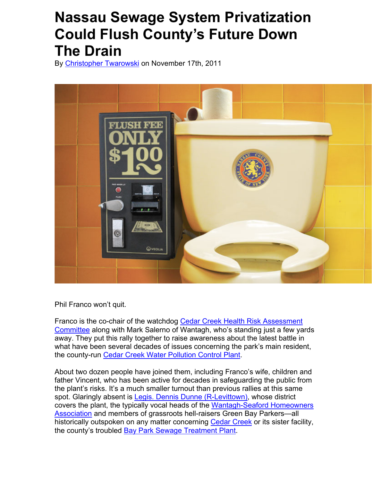## **Nassau Sewage System Privatization Could Flush County's Future Down The Drain**

By Christopher Twarowski on November 17th, 2011



Phil Franco won't quit.

Franco is the co-chair of the watchdog Cedar Creek Health Risk Assessment Committee along with Mark Salerno of Wantagh, who's standing just a few yards away. They put this rally together to raise awareness about the latest battle in what have been several decades of issues concerning the park's main resident, the county-run Cedar Creek Water Pollution Control Plant.

About two dozen people have joined them, including Franco's wife, children and father Vincent, who has been active for decades in safeguarding the public from the plant's risks. It's a much smaller turnout than previous rallies at this same spot. Glaringly absent is Legis. Dennis Dunne (R-Levittown), whose district covers the plant, the typically vocal heads of the Wantagh-Seaford Homeowners Association and members of grassroots hell-raisers Green Bay Parkers—all historically outspoken on any matter concerning Cedar Creek or its sister facility, the county's troubled Bay Park Sewage Treatment Plant.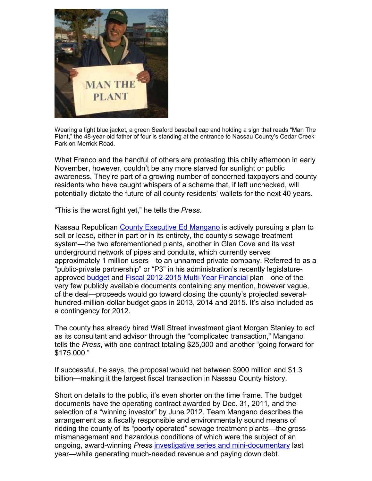

Wearing a light blue jacket, a green Seaford baseball cap and holding a sign that reads "Man The Plant," the 48-year-old father of four is standing at the entrance to Nassau County's Cedar Creek Park on Merrick Road.

What Franco and the handful of others are protesting this chilly afternoon in early November, however, couldn't be any more starved for sunlight or public awareness. They're part of a growing number of concerned taxpayers and county residents who have caught whispers of a scheme that, if left unchecked, will potentially dictate the future of all county residents' wallets for the next 40 years.

"This is the worst fight yet," he tells the *Press*.

Nassau Republican County Executive Ed Mangano is actively pursuing a plan to sell or lease, either in part or in its entirety, the county's sewage treatment system—the two aforementioned plants, another in Glen Cove and its vast underground network of pipes and conduits, which currently serves approximately 1 million users—to an unnamed private company. Referred to as a "public-private partnership" or "P3" in his administration's recently legislatureapproved budget and Fiscal 2012-2015 Multi-Year Financial plan—one of the very few publicly available documents containing any mention, however vague, of the deal—proceeds would go toward closing the county's projected severalhundred-million-dollar budget gaps in 2013, 2014 and 2015. It's also included as a contingency for 2012.

The county has already hired Wall Street investment giant Morgan Stanley to act as its consultant and advisor through the "complicated transaction," Mangano tells the *Press*, with one contract totaling \$25,000 and another "going forward for \$175,000."

If successful, he says, the proposal would net between \$900 million and \$1.3 billion—making it the largest fiscal transaction in Nassau County history.

Short on details to the public, it's even shorter on the time frame. The budget documents have the operating contract awarded by Dec. 31, 2011, and the selection of a "winning investor" by June 2012. Team Mangano describes the arrangement as a fiscally responsible and environmentally sound means of ridding the county of its "poorly operated" sewage treatment plants—the gross mismanagement and hazardous conditions of which were the subject of an ongoing, award-winning *Press* investigative series and mini-documentary last year—while generating much-needed revenue and paying down debt.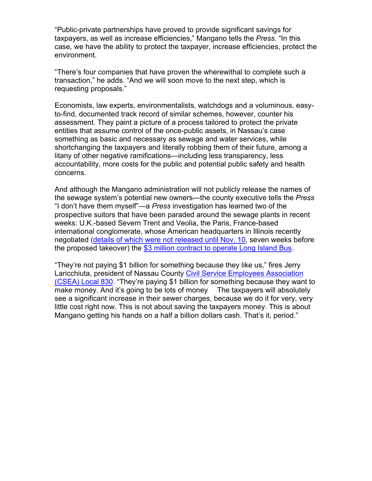"Public-private partnerships have proved to provide significant savings for taxpayers, as well as increase efficiencies," Mangano tells the *Press*. "In this case, we have the ability to protect the taxpayer, increase efficiencies, protect the environment.

"There's four companies that have proven the wherewithal to complete such a transaction," he adds. "And we will soon move to the next step, which is requesting proposals."

Economists, law experts, environmentalists, watchdogs and a voluminous, easyto-find, documented track record of similar schemes, however, counter his assessment. They paint a picture of a process tailored to protect the private entities that assume control of the once-public assets, in Nassau's case something as basic and necessary as sewage and water services, while shortchanging the taxpayers and literally robbing them of their future, among a litany of other negative ramifications—including less transparency, less accountability, more costs for the public and potential public safety and health concerns.

And although the Mangano administration will not publicly release the names of the sewage system's potential new owners—the county executive tells the *Press* "I don't have them myself"—a *Press* investigation has learned two of the prospective suitors that have been paraded around the sewage plants in recent weeks: U.K.-based Severn Trent and Veolia, the Paris, France-based international conglomerate, whose American headquarters in Illinois recently negotiated (details of which were not released until Nov. 10, seven weeks before the proposed takeover) the \$3 million contract to operate Long Island Bus.

"They're not paying \$1 billion for something because they like us," fires Jerry Laricchiuta, president of Nassau County Civil Service Employees Association (CSEA) Local 830. "They're paying \$1 billion for something because they want to make money. And it's going to be lots of money The taxpayers will absolutely see a significant increase in their sewer charges, because we do it for very, very little cost right now. This is not about saving the taxpayers money. This is about Mangano getting his hands on a half a billion dollars cash. That's it, period."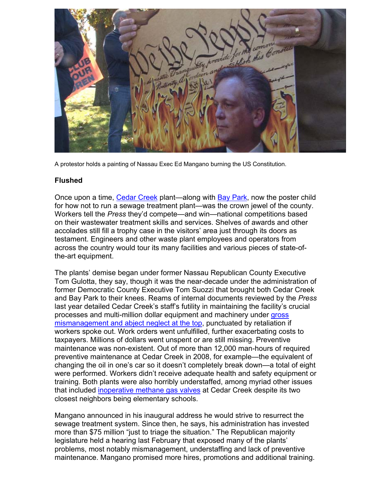

A protestor holds a painting of Nassau Exec Ed Mangano burning the US Constitution.

## **Flushed**

Once upon a time, Cedar Creek plant—along with Bay Park, now the poster child for how not to run a sewage treatment plant—was the crown jewel of the county. Workers tell the *Press* they'd compete—and win—national competitions based on their wastewater treatment skills and services. Shelves of awards and other accolades still fill a trophy case in the visitors' area just through its doors as testament. Engineers and other waste plant employees and operators from across the country would tour its many facilities and various pieces of state-ofthe-art equipment.

The plants' demise began under former Nassau Republican County Executive Tom Gulotta, they say, though it was the near-decade under the administration of former Democratic County Executive Tom Suozzi that brought both Cedar Creek and Bay Park to their knees. Reams of internal documents reviewed by the *Press* last year detailed Cedar Creek's staff's futility in maintaining the facility's crucial processes and multi-million dollar equipment and machinery under gross mismanagement and abject neglect at the top, punctuated by retaliation if workers spoke out. Work orders went unfulfilled, further exacerbating costs to taxpayers. Millions of dollars went unspent or are still missing. Preventive maintenance was non-existent. Out of more than 12,000 man-hours of required preventive maintenance at Cedar Creek in 2008, for example—the equivalent of changing the oil in one's car so it doesn't completely break down—a total of eight were performed. Workers didn't receive adequate health and safety equipment or training. Both plants were also horribly understaffed, among myriad other issues that included inoperative methane gas valves at Cedar Creek despite its two closest neighbors being elementary schools.

Mangano announced in his inaugural address he would strive to resurrect the sewage treatment system. Since then, he says, his administration has invested more than \$75 million "just to triage the situation." The Republican majority legislature held a hearing last February that exposed many of the plants' problems, most notably mismanagement, understaffing and lack of preventive maintenance. Mangano promised more hires, promotions and additional training.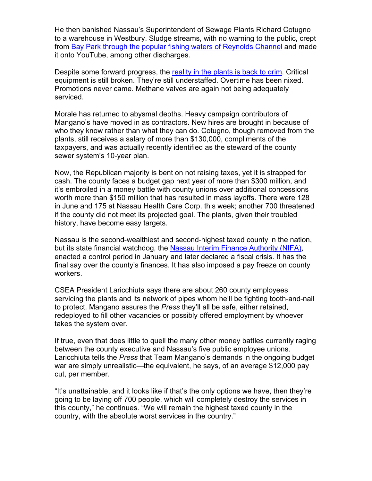He then banished Nassau's Superintendent of Sewage Plants Richard Cotugno to a warehouse in Westbury. Sludge streams, with no warning to the public, crept from Bay Park through the popular fishing waters of Reynolds Channel and made it onto YouTube, among other discharges.

Despite some forward progress, the reality in the plants is back to grim. Critical equipment is still broken. They're still understaffed. Overtime has been nixed. Promotions never came. Methane valves are again not being adequately serviced.

Morale has returned to abysmal depths. Heavy campaign contributors of Mangano's have moved in as contractors. New hires are brought in because of who they know rather than what they can do. Cotugno, though removed from the plants, still receives a salary of more than \$130,000, compliments of the taxpayers, and was actually recently identified as the steward of the county sewer system's 10-year plan.

Now, the Republican majority is bent on not raising taxes, yet it is strapped for cash. The county faces a budget gap next year of more than \$300 million, and it's embroiled in a money battle with county unions over additional concessions worth more than \$150 million that has resulted in mass layoffs. There were 128 in June and 175 at Nassau Health Care Corp. this week; another 700 threatened if the county did not meet its projected goal. The plants, given their troubled history, have become easy targets.

Nassau is the second-wealthiest and second-highest taxed county in the nation, but its state financial watchdog, the Nassau Interim Finance Authority (NIFA), enacted a control period in January and later declared a fiscal crisis. It has the final say over the county's finances. It has also imposed a pay freeze on county workers.

CSEA President Laricchiuta says there are about 260 county employees servicing the plants and its network of pipes whom he'll be fighting tooth-and-nail to protect. Mangano assures the *Press* they'll all be safe, either retained, redeployed to fill other vacancies or possibly offered employment by whoever takes the system over.

If true, even that does little to quell the many other money battles currently raging between the county executive and Nassau's five public employee unions. Laricchiuta tells the *Press* that Team Mangano's demands in the ongoing budget war are simply unrealistic—the equivalent, he says, of an average \$12,000 pay cut, per member.

"It's unattainable, and it looks like if that's the only options we have, then they're going to be laying off 700 people, which will completely destroy the services in this county," he continues. "We will remain the highest taxed county in the country, with the absolute worst services in the country."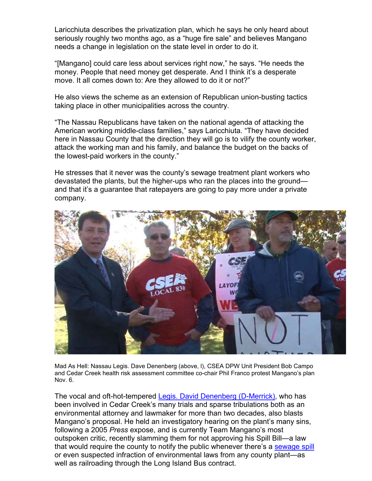Laricchiuta describes the privatization plan, which he says he only heard about seriously roughly two months ago, as a "huge fire sale" and believes Mangano needs a change in legislation on the state level in order to do it.

"[Mangano] could care less about services right now," he says. "He needs the money. People that need money get desperate. And I think it's a desperate move. It all comes down to: Are they allowed to do it or not?"

He also views the scheme as an extension of Republican union-busting tactics taking place in other municipalities across the country.

"The Nassau Republicans have taken on the national agenda of attacking the American working middle-class families," says Laricchiuta. "They have decided here in Nassau County that the direction they will go is to vilify the county worker, attack the working man and his family, and balance the budget on the backs of the lowest-paid workers in the county."

He stresses that it never was the county's sewage treatment plant workers who devastated the plants, but the higher-ups who ran the places into the ground and that it's a guarantee that ratepayers are going to pay more under a private company.



Mad As Hell: Nassau Legis. Dave Denenberg (above, l), CSEA DPW Unit President Bob Campo and Cedar Creek health risk assessment committee co-chair Phil Franco protest Mangano's plan Nov. 6.

The vocal and oft-hot-tempered Legis. David Denenberg (D-Merrick), who has been involved in Cedar Creek's many trials and sparse tribulations both as an environmental attorney and lawmaker for more than two decades, also blasts Mangano's proposal. He held an investigatory hearing on the plant's many sins, following a 2005 *Press* expose, and is currently Team Mangano's most outspoken critic, recently slamming them for not approving his Spill Bill—a law that would require the county to notify the public whenever there's a sewage spill or even suspected infraction of environmental laws from any county plant—as well as railroading through the Long Island Bus contract.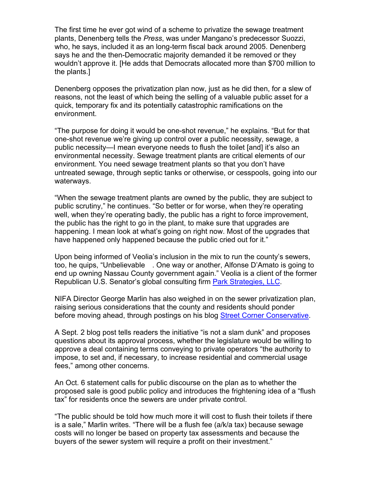The first time he ever got wind of a scheme to privatize the sewage treatment plants, Denenberg tells the *Press*, was under Mangano's predecessor Suozzi, who, he says, included it as an long-term fiscal back around 2005. Denenberg says he and the then-Democratic majority demanded it be removed or they wouldn't approve it. [He adds that Democrats allocated more than \$700 million to the plants.]

Denenberg opposes the privatization plan now, just as he did then, for a slew of reasons, not the least of which being the selling of a valuable public asset for a quick, temporary fix and its potentially catastrophic ramifications on the environment.

"The purpose for doing it would be one-shot revenue," he explains. "But for that one-shot revenue we're giving up control over a public necessity, sewage, a public necessity—I mean everyone needs to flush the toilet [and] it's also an environmental necessity. Sewage treatment plants are critical elements of our environment. You need sewage treatment plants so that you don't have untreated sewage, through septic tanks or otherwise, or cesspools, going into our waterways.

"When the sewage treatment plants are owned by the public, they are subject to public scrutiny," he continues. "So better or for worse, when they're operating well, when they're operating badly, the public has a right to force improvement, the public has the right to go in the plant, to make sure that upgrades are happening. I mean look at what's going on right now. Most of the upgrades that have happened only happened because the public cried out for it."

Upon being informed of Veolia's inclusion in the mix to run the county's sewers, too, he quips, "Unbelievable . One way or another, Alfonse D'Amato is going to end up owning Nassau County government again." Veolia is a client of the former Republican U.S. Senator's global consulting firm Park Strategies, LLC.

NIFA Director George Marlin has also weighed in on the sewer privatization plan, raising serious considerations that the county and residents should ponder before moving ahead, through postings on his blog Street Corner Conservative.

A Sept. 2 blog post tells readers the initiative "is not a slam dunk" and proposes questions about its approval process, whether the legislature would be willing to approve a deal containing terms conveying to private operators "the authority to impose, to set and, if necessary, to increase residential and commercial usage fees," among other concerns.

An Oct. 6 statement calls for public discourse on the plan as to whether the proposed sale is good public policy and introduces the frightening idea of a "flush tax" for residents once the sewers are under private control.

"The public should be told how much more it will cost to flush their toilets if there is a sale," Marlin writes. "There will be a flush fee (a/k/a tax) because sewage costs will no longer be based on property tax assessments and because the buyers of the sewer system will require a profit on their investment."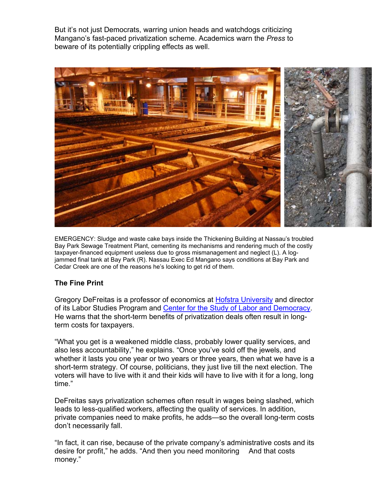But it's not just Democrats, warring union heads and watchdogs criticizing Mangano's fast-paced privatization scheme. Academics warn the *Press* to beware of its potentially crippling effects as well.



EMERGENCY: Sludge and waste cake bays inside the Thickening Building at Nassau's troubled Bay Park Sewage Treatment Plant, cementing its mechanisms and rendering much of the costly taxpayer-financed equipment useless due to gross mismanagement and neglect (L). A logjammed final tank at Bay Park (R). Nassau Exec Ed Mangano says conditions at Bay Park and Cedar Creek are one of the reasons he's looking to get rid of them.

## **The Fine Print**

Gregory DeFreitas is a professor of economics at Hofstra University and director of its Labor Studies Program and Center for the Study of Labor and Democracy. He warns that the short-term benefits of privatization deals often result in longterm costs for taxpayers.

"What you get is a weakened middle class, probably lower quality services, and also less accountability," he explains. "Once you've sold off the jewels, and whether it lasts you one year or two years or three years, then what we have is a short-term strategy. Of course, politicians, they just live till the next election. The voters will have to live with it and their kids will have to live with it for a long, long time."

DeFreitas says privatization schemes often result in wages being slashed, which leads to less-qualified workers, affecting the quality of services. In addition, private companies need to make profits, he adds—so the overall long-term costs don't necessarily fall.

"In fact, it can rise, because of the private company's administrative costs and its desire for profit," he adds. "And then you need monitoring And that costs money."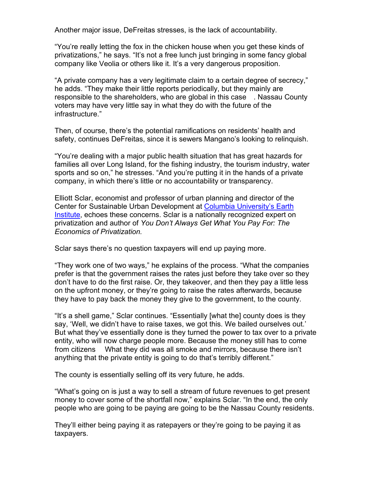Another major issue, DeFreitas stresses, is the lack of accountability.

"You're really letting the fox in the chicken house when you get these kinds of privatizations," he says. "It's not a free lunch just bringing in some fancy global company like Veolia or others like it. It's a very dangerous proposition.

"A private company has a very legitimate claim to a certain degree of secrecy," he adds. "They make their little reports periodically, but they mainly are responsible to the shareholders, who are global in this case . Nassau County voters may have very little say in what they do with the future of the infrastructure."

Then, of course, there's the potential ramifications on residents' health and safety, continues DeFreitas, since it is sewers Mangano's looking to relinquish.

"You're dealing with a major public health situation that has great hazards for families all over Long Island, for the fishing industry, the tourism industry, water sports and so on," he stresses. "And you're putting it in the hands of a private company, in which there's little or no accountability or transparency.

Elliott Sclar, economist and professor of urban planning and director of the Center for Sustainable Urban Development at Columbia University's Earth Institute, echoes these concerns. Sclar is a nationally recognized expert on privatization and author of *You Don't Always Get What You Pay For: The Economics of Privatization.*

Sclar says there's no question taxpayers will end up paying more.

"They work one of two ways," he explains of the process. "What the companies prefer is that the government raises the rates just before they take over so they don't have to do the first raise. Or, they takeover, and then they pay a little less on the upfront money, or they're going to raise the rates afterwards, because they have to pay back the money they give to the government, to the county.

"It's a shell game," Sclar continues. "Essentially [what the] county does is they say, 'Well, we didn't have to raise taxes, we got this. We bailed ourselves out.' But what they've essentially done is they turned the power to tax over to a private entity, who will now charge people more. Because the money still has to come from citizens What they did was all smoke and mirrors, because there isn't anything that the private entity is going to do that's terribly different."

The county is essentially selling off its very future, he adds.

"What's going on is just a way to sell a stream of future revenues to get present money to cover some of the shortfall now," explains Sclar. "In the end, the only people who are going to be paying are going to be the Nassau County residents.

They'll either being paying it as ratepayers or they're going to be paying it as taxpayers.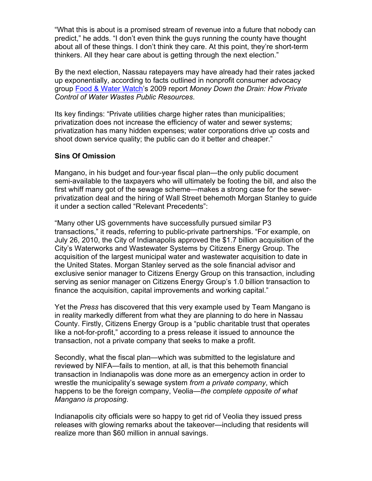"What this is about is a promised stream of revenue into a future that nobody can predict," he adds. "I don't even think the guys running the county have thought about all of these things. I don't think they care. At this point, they're short-term thinkers. All they hear care about is getting through the next election."

By the next election, Nassau ratepayers may have already had their rates jacked up exponentially, according to facts outlined in nonprofit consumer advocacy group Food & Water Watch's 2009 report *Money Down the Drain: How Private Control of Water Wastes Public Resources*.

Its key findings: "Private utilities charge higher rates than municipalities; privatization does not increase the efficiency of water and sewer systems; privatization has many hidden expenses; water corporations drive up costs and shoot down service quality; the public can do it better and cheaper."

## **Sins Of Omission**

Mangano, in his budget and four-year fiscal plan—the only public document semi-available to the taxpayers who will ultimately be footing the bill, and also the first whiff many got of the sewage scheme—makes a strong case for the sewerprivatization deal and the hiring of Wall Street behemoth Morgan Stanley to guide it under a section called "Relevant Precedents":

"Many other US governments have successfully pursued similar P3 transactions," it reads, referring to public-private partnerships. "For example, on July 26, 2010, the City of Indianapolis approved the \$1.7 billion acquisition of the City's Waterworks and Wastewater Systems by Citizens Energy Group. The acquisition of the largest municipal water and wastewater acquisition to date in the United States. Morgan Stanley served as the sole financial advisor and exclusive senior manager to Citizens Energy Group on this transaction, including serving as senior manager on Citizens Energy Group's 1.0 billion transaction to finance the acquisition, capital improvements and working capital."

Yet the *Press* has discovered that this very example used by Team Mangano is in reality markedly different from what they are planning to do here in Nassau County. Firstly, Citizens Energy Group is a "public charitable trust that operates like a not-for-profit," according to a press release it issued to announce the transaction, not a private company that seeks to make a profit.

Secondly, what the fiscal plan—which was submitted to the legislature and reviewed by NIFA—fails to mention, at all, is that this behemoth financial transaction in Indianapolis was done more as an emergency action in order to wrestle the municipality's sewage system *from a private company*, which happens to be the foreign company, Veolia—*the complete opposite of what Mangano is proposing*.

Indianapolis city officials were so happy to get rid of Veolia they issued press releases with glowing remarks about the takeover—including that residents will realize more than \$60 million in annual savings.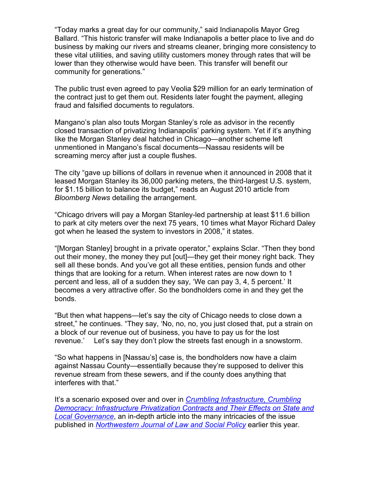"Today marks a great day for our community," said Indianapolis Mayor Greg Ballard. "This historic transfer will make Indianapolis a better place to live and do business by making our rivers and streams cleaner, bringing more consistency to these vital utilities, and saving utility customers money through rates that will be lower than they otherwise would have been. This transfer will benefit our community for generations."

The public trust even agreed to pay Veolia \$29 million for an early termination of the contract just to get them out. Residents later fought the payment, alleging fraud and falsified documents to regulators.

Mangano's plan also touts Morgan Stanley's role as advisor in the recently closed transaction of privatizing Indianapolis' parking system. Yet if it's anything like the Morgan Stanley deal hatched in Chicago—another scheme left unmentioned in Mangano's fiscal documents—Nassau residents will be screaming mercy after just a couple flushes.

The city "gave up billions of dollars in revenue when it announced in 2008 that it leased Morgan Stanley its 36,000 parking meters, the third-largest U.S. system, for \$1.15 billion to balance its budget," reads an August 2010 article from *Bloomberg News* detailing the arrangement.

"Chicago drivers will pay a Morgan Stanley-led partnership at least \$11.6 billion to park at city meters over the next 75 years, 10 times what Mayor Richard Daley got when he leased the system to investors in 2008," it states.

"[Morgan Stanley] brought in a private operator," explains Sclar. "Then they bond out their money, the money they put [out]—they get their money right back. They sell all these bonds. And you've got all these entities, pension funds and other things that are looking for a return. When interest rates are now down to 1 percent and less, all of a sudden they say, 'We can pay 3, 4, 5 percent.' It becomes a very attractive offer. So the bondholders come in and they get the bonds.

"But then what happens—let's say the city of Chicago needs to close down a street," he continues. "They say, 'No, no, no, you just closed that, put a strain on a block of our revenue out of business, you have to pay us for the lost revenue.' Let's say they don't plow the streets fast enough in a snowstorm.

"So what happens in [Nassau's] case is, the bondholders now have a claim against Nassau County—essentially because they're supposed to deliver this revenue stream from these sewers, and if the county does anything that interferes with that."

It's a scenario exposed over and over in *Crumbling Infrastructure, Crumbling Democracy: Infrastructure Privatization Contracts and Their Effects on State and Local Governance*, an in-depth article into the many intricacies of the issue published in *Northwestern Journal of Law and Social Policy* earlier this year.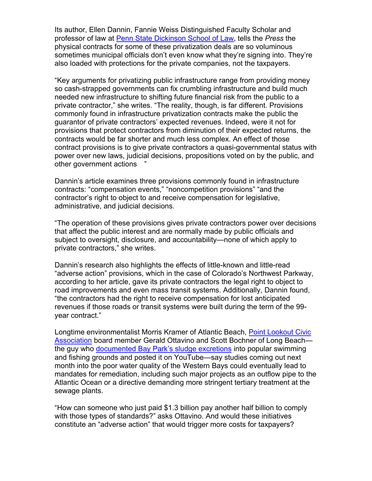Its author, Ellen Dannin, Fannie Weiss Distinguished Faculty Scholar and professor of law at Penn State Dickinson School of Law, tells the *Press* the physical contracts for some of these privatization deals are so voluminous sometimes municipal officials don't even know what they're signing into. They're also loaded with protections for the private companies, not the taxpayers.

"Key arguments for privatizing public infrastructure range from providing money so cash-strapped governments can fix crumbling infrastructure and build much needed new infrastructure to shifting future financial risk from the public to a private contractor," she writes. "The reality, though, is far different. Provisions commonly found in infrastructure privatization contracts make the public the guarantor of private contractors' expected revenues. Indeed, were it not for provisions that protect contractors from diminution of their expected returns, the contracts would be far shorter and much less complex. An effect of those contract provisions is to give private contractors a quasi-governmental status with power over new laws, judicial decisions, propositions voted on by the public, and other government actions "

Dannin's article examines three provisions commonly found in infrastructure contracts: "compensation events," "noncompetition provisions" "and the contractor's right to object to and receive compensation for legislative, administrative, and judicial decisions.

"The operation of these provisions gives private contractors power over decisions that affect the public interest and are normally made by public officials and subject to oversight, disclosure, and accountability—none of which apply to private contractors," she writes.

Dannin's research also highlights the effects of little-known and little-read "adverse action" provisions, which in the case of Colorado's Northwest Parkway, according to her article, gave its private contractors the legal right to object to road improvements and even mass transit systems. Additionally, Dannin found, "the contractors had the right to receive compensation for lost anticipated revenues if those roads or transit systems were built during the term of the 99 year contract."

Longtime environmentalist Morris Kramer of Atlantic Beach, Point Lookout Civic Association board member Gerald Ottavino and Scott Bochner of Long Beachthe guy who documented Bay Park's sludge excretions into popular swimming and fishing grounds and posted it on YouTube—say studies coming out next month into the poor water quality of the Western Bays could eventually lead to mandates for remediation, including such major projects as an outflow pipe to the Atlantic Ocean or a directive demanding more stringent tertiary treatment at the sewage plants.

"How can someone who just paid \$1.3 billion pay another half billion to comply with those types of standards?" asks Ottavino. And would these initiatives constitute an "adverse action" that would trigger more costs for taxpayers?